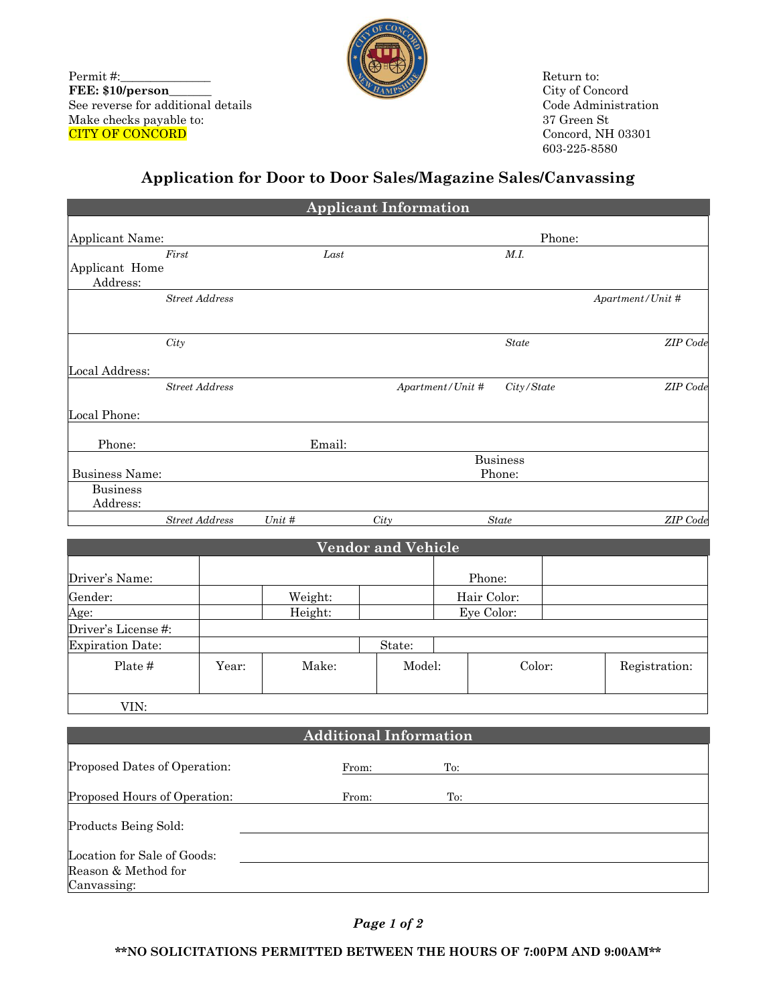Permit #: **FEE: \$10/person\_\_\_\_\_\_\_** See reverse for additional details Make checks payable to: CITY OF CONCORD

Canvassing:



Return to: City of Concord Code Administration 37 Green St Concord, NH 03301 603-225-8580

## **Application for Door to Door Sales/Magazine Sales/Canvassing**

|                                                    |                       |       |         | <b>Applicant Information</b>  |                           |                   |  |                  |  |
|----------------------------------------------------|-----------------------|-------|---------|-------------------------------|---------------------------|-------------------|--|------------------|--|
| Applicant Name:                                    |                       |       |         |                               | Phone:                    |                   |  |                  |  |
|                                                    | First                 |       | Last    |                               |                           | $M.\mathfrak{l}.$ |  |                  |  |
| Applicant Home<br>Address:                         |                       |       |         |                               |                           |                   |  |                  |  |
|                                                    | <b>Street Address</b> |       |         |                               |                           |                   |  | Apartment/Unit # |  |
|                                                    | City                  |       |         |                               |                           | <b>State</b>      |  | ZIP Code         |  |
| <b>Local Address:</b>                              |                       |       |         |                               |                           |                   |  |                  |  |
|                                                    | <b>Street Address</b> |       |         |                               | Apartment/Unit #          | City/State        |  | ZIP Code         |  |
| Local Phone:                                       |                       |       |         |                               |                           |                   |  |                  |  |
| Phone:                                             |                       |       | Email:  |                               |                           |                   |  |                  |  |
| <b>Business Name:</b>                              |                       |       |         |                               | <b>Business</b><br>Phone: |                   |  |                  |  |
| <b>Business</b>                                    |                       |       |         |                               |                           |                   |  |                  |  |
| Address:                                           | <b>Street Address</b> |       | Unit #  |                               |                           |                   |  | ZIP Code         |  |
|                                                    |                       |       |         | City                          |                           | State             |  |                  |  |
|                                                    |                       |       |         | <b>Vendor and Vehicle</b>     |                           |                   |  |                  |  |
| Driver's Name:                                     |                       |       |         |                               |                           | Phone:            |  |                  |  |
| Gender:                                            |                       |       | Weight: |                               |                           | Hair Color:       |  |                  |  |
| Age:                                               |                       |       | Height: |                               |                           | Eye Color:        |  |                  |  |
| Driver's License #:                                |                       |       |         |                               |                           |                   |  |                  |  |
| <b>Expiration Date:</b>                            |                       |       |         | State:                        |                           |                   |  |                  |  |
| Plate #                                            |                       | Year: | Make:   |                               | Model:                    | Color:            |  | Registration:    |  |
| VIN:                                               |                       |       |         |                               |                           |                   |  |                  |  |
|                                                    |                       |       |         | <b>Additional Information</b> |                           |                   |  |                  |  |
| Proposed Dates of Operation:                       |                       |       |         | From:                         | To:                       |                   |  |                  |  |
|                                                    |                       |       |         |                               |                           |                   |  |                  |  |
| Proposed Hours of Operation:                       |                       |       |         | From:                         | To:                       |                   |  |                  |  |
| Products Being Sold:                               |                       |       |         |                               |                           |                   |  |                  |  |
| Location for Sale of Goods:<br>Reason & Method for |                       |       |         |                               |                           |                   |  |                  |  |

*Page 1 of 2*

**\*\*NO SOLICITATIONS PERMITTED BETWEEN THE HOURS OF 7:00PM AND 9:00AM\*\***